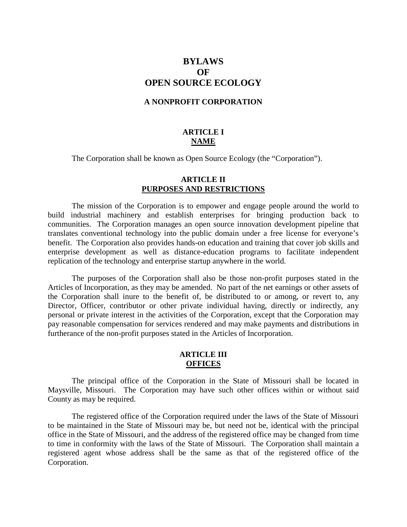# **BYLAWS OF OPEN SOURCE ECOLOGY**

#### **A NONPROFIT CORPORATION**

# **ARTICLE I NAME**

The Corporation shall be known as Open Source Ecology (the "Corporation").

# **ARTICLE II PURPOSES AND RESTRICTIONS**

The mission of the Corporation is to empower and engage people around the world to build industrial machinery and establish enterprises for bringing production back to communities. The Corporation manages an open source innovation development pipeline that translates conventional technology into the public domain under a free license for everyone's benefit. The Corporation also provides hands-on education and training that cover job skills and enterprise development as well as distance-education programs to facilitate independent replication of the technology and enterprise startup anywhere in the world.

The purposes of the Corporation shall also be those non-profit purposes stated in the Articles of Incorporation, as they may be amended. No part of the net earnings or other assets of the Corporation shall inure to the benefit of, be distributed to or among, or revert to, any Director, Officer, contributor or other private individual having, directly or indirectly, any personal or private interest in the activities of the Corporation, except that the Corporation may pay reasonable compensation for services rendered and may make payments and distributions in furtherance of the non-profit purposes stated in the Articles of Incorporation.

### **ARTICLE III OFFICES**

The principal office of the Corporation in the State of Missouri shall be located in Maysville, Missouri. The Corporation may have such other offices within or without said County as may be required.

The registered office of the Corporation required under the laws of the State of Missouri to be maintained in the State of Missouri may be, but need not be, identical with the principal office in the State of Missouri, and the address of the registered office may be changed from time to time in conformity with the laws of the State of Missouri. The Corporation shall maintain a registered agent whose address shall be the same as that of the registered office of the Corporation.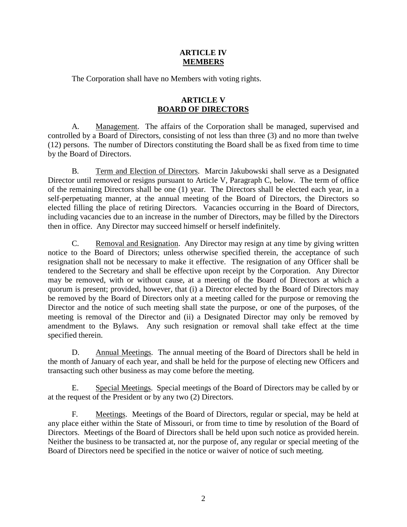# **ARTICLE IV MEMBERS**

The Corporation shall have no Members with voting rights.

# **ARTICLE V BOARD OF DIRECTORS**

A. Management. The affairs of the Corporation shall be managed, supervised and controlled by a Board of Directors, consisting of not less than three (3) and no more than twelve (12) persons. The number of Directors constituting the Board shall be as fixed from time to time by the Board of Directors.

B. Term and Election of Directors. Marcin Jakubowski shall serve as a Designated Director until removed or resigns pursuant to Article V, Paragraph C, below. The term of office of the remaining Directors shall be one (1) year. The Directors shall be elected each year, in a self-perpetuating manner, at the annual meeting of the Board of Directors, the Directors so elected filling the place of retiring Directors. Vacancies occurring in the Board of Directors, including vacancies due to an increase in the number of Directors, may be filled by the Directors then in office. Any Director may succeed himself or herself indefinitely.

C. Removal and Resignation. Any Director may resign at any time by giving written notice to the Board of Directors; unless otherwise specified therein, the acceptance of such resignation shall not be necessary to make it effective. The resignation of any Officer shall be tendered to the Secretary and shall be effective upon receipt by the Corporation. Any Director may be removed, with or without cause, at a meeting of the Board of Directors at which a quorum is present; provided, however, that (i) a Director elected by the Board of Directors may be removed by the Board of Directors only at a meeting called for the purpose or removing the Director and the notice of such meeting shall state the purpose, or one of the purposes, of the meeting is removal of the Director and (ii) a Designated Director may only be removed by amendment to the Bylaws. Any such resignation or removal shall take effect at the time specified therein.

D. Annual Meetings. The annual meeting of the Board of Directors shall be held in the month of January of each year, and shall be held for the purpose of electing new Officers and transacting such other business as may come before the meeting.

E. Special Meetings. Special meetings of the Board of Directors may be called by or at the request of the President or by any two (2) Directors.

F. Meetings. Meetings of the Board of Directors, regular or special, may be held at any place either within the State of Missouri, or from time to time by resolution of the Board of Directors. Meetings of the Board of Directors shall be held upon such notice as provided herein. Neither the business to be transacted at, nor the purpose of, any regular or special meeting of the Board of Directors need be specified in the notice or waiver of notice of such meeting.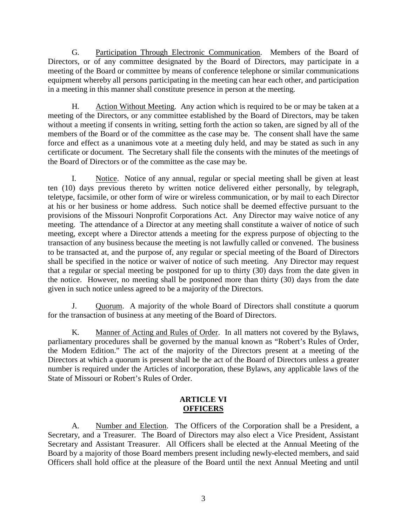G. Participation Through Electronic Communication. Members of the Board of Directors, or of any committee designated by the Board of Directors, may participate in a meeting of the Board or committee by means of conference telephone or similar communications equipment whereby all persons participating in the meeting can hear each other, and participation in a meeting in this manner shall constitute presence in person at the meeting.

H. Action Without Meeting. Any action which is required to be or may be taken at a meeting of the Directors, or any committee established by the Board of Directors, may be taken without a meeting if consents in writing, setting forth the action so taken, are signed by all of the members of the Board or of the committee as the case may be. The consent shall have the same force and effect as a unanimous vote at a meeting duly held, and may be stated as such in any certificate or document. The Secretary shall file the consents with the minutes of the meetings of the Board of Directors or of the committee as the case may be.

I. Notice. Notice of any annual, regular or special meeting shall be given at least ten (10) days previous thereto by written notice delivered either personally, by telegraph, teletype, facsimile, or other form of wire or wireless communication, or by mail to each Director at his or her business or home address. Such notice shall be deemed effective pursuant to the provisions of the Missouri Nonprofit Corporations Act. Any Director may waive notice of any meeting. The attendance of a Director at any meeting shall constitute a waiver of notice of such meeting, except where a Director attends a meeting for the express purpose of objecting to the transaction of any business because the meeting is not lawfully called or convened. The business to be transacted at, and the purpose of, any regular or special meeting of the Board of Directors shall be specified in the notice or waiver of notice of such meeting. Any Director may request that a regular or special meeting be postponed for up to thirty (30) days from the date given in the notice. However, no meeting shall be postponed more than thirty (30) days from the date given in such notice unless agreed to be a majority of the Directors.

J. Quorum. A majority of the whole Board of Directors shall constitute a quorum for the transaction of business at any meeting of the Board of Directors.

K. Manner of Acting and Rules of Order. In all matters not covered by the Bylaws, parliamentary procedures shall be governed by the manual known as "Robert's Rules of Order, the Modern Edition." The act of the majority of the Directors present at a meeting of the Directors at which a quorum is present shall be the act of the Board of Directors unless a greater number is required under the Articles of incorporation, these Bylaws, any applicable laws of the State of Missouri or Robert's Rules of Order.

# **ARTICLE VI OFFICERS**

A. Number and Election. The Officers of the Corporation shall be a President, a Secretary, and a Treasurer. The Board of Directors may also elect a Vice President, Assistant Secretary and Assistant Treasurer. All Officers shall be elected at the Annual Meeting of the Board by a majority of those Board members present including newly-elected members, and said Officers shall hold office at the pleasure of the Board until the next Annual Meeting and until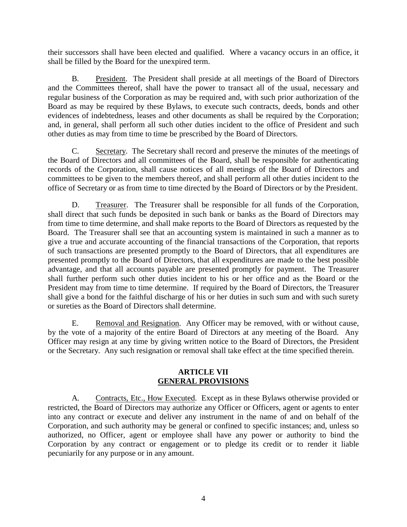their successors shall have been elected and qualified. Where a vacancy occurs in an office, it shall be filled by the Board for the unexpired term.

B. President. The President shall preside at all meetings of the Board of Directors and the Committees thereof, shall have the power to transact all of the usual, necessary and regular business of the Corporation as may be required and, with such prior authorization of the Board as may be required by these Bylaws, to execute such contracts, deeds, bonds and other evidences of indebtedness, leases and other documents as shall be required by the Corporation; and, in general, shall perform all such other duties incident to the office of President and such other duties as may from time to time be prescribed by the Board of Directors.

C. Secretary. The Secretary shall record and preserve the minutes of the meetings of the Board of Directors and all committees of the Board, shall be responsible for authenticating records of the Corporation, shall cause notices of all meetings of the Board of Directors and committees to be given to the members thereof, and shall perform all other duties incident to the office of Secretary or as from time to time directed by the Board of Directors or by the President.

D. Treasurer. The Treasurer shall be responsible for all funds of the Corporation, shall direct that such funds be deposited in such bank or banks as the Board of Directors may from time to time determine, and shall make reports to the Board of Directors as requested by the Board. The Treasurer shall see that an accounting system is maintained in such a manner as to give a true and accurate accounting of the financial transactions of the Corporation, that reports of such transactions are presented promptly to the Board of Directors, that all expenditures are presented promptly to the Board of Directors, that all expenditures are made to the best possible advantage, and that all accounts payable are presented promptly for payment. The Treasurer shall further perform such other duties incident to his or her office and as the Board or the President may from time to time determine. If required by the Board of Directors, the Treasurer shall give a bond for the faithful discharge of his or her duties in such sum and with such surety or sureties as the Board of Directors shall determine.

E. Removal and Resignation. Any Officer may be removed, with or without cause, by the vote of a majority of the entire Board of Directors at any meeting of the Board. Any Officer may resign at any time by giving written notice to the Board of Directors, the President or the Secretary. Any such resignation or removal shall take effect at the time specified therein.

# **ARTICLE VII GENERAL PROVISIONS**

A. Contracts, Etc., How Executed. Except as in these Bylaws otherwise provided or restricted, the Board of Directors may authorize any Officer or Officers, agent or agents to enter into any contract or execute and deliver any instrument in the name of and on behalf of the Corporation, and such authority may be general or confined to specific instances; and, unless so authorized, no Officer, agent or employee shall have any power or authority to bind the Corporation by any contract or engagement or to pledge its credit or to render it liable pecuniarily for any purpose or in any amount.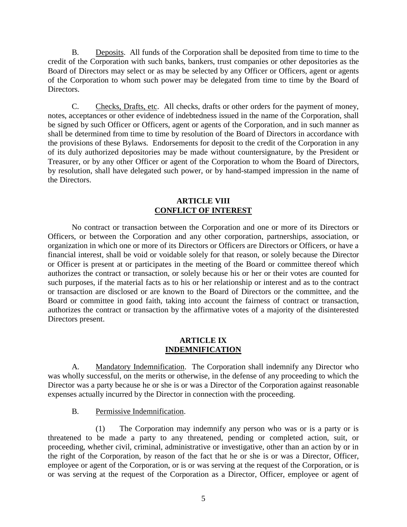B. Deposits. All funds of the Corporation shall be deposited from time to time to the credit of the Corporation with such banks, bankers, trust companies or other depositories as the Board of Directors may select or as may be selected by any Officer or Officers, agent or agents of the Corporation to whom such power may be delegated from time to time by the Board of Directors.

C. Checks, Drafts, etc. All checks, drafts or other orders for the payment of money, notes, acceptances or other evidence of indebtedness issued in the name of the Corporation, shall be signed by such Officer or Officers, agent or agents of the Corporation, and in such manner as shall be determined from time to time by resolution of the Board of Directors in accordance with the provisions of these Bylaws. Endorsements for deposit to the credit of the Corporation in any of its duly authorized depositories may be made without countersignature, by the President or Treasurer, or by any other Officer or agent of the Corporation to whom the Board of Directors, by resolution, shall have delegated such power, or by hand-stamped impression in the name of the Directors.

### **ARTICLE VIII CONFLICT OF INTEREST**

No contract or transaction between the Corporation and one or more of its Directors or Officers, or between the Corporation and any other corporation, partnerships, association, or organization in which one or more of its Directors or Officers are Directors or Officers, or have a financial interest, shall be void or voidable solely for that reason, or solely because the Director or Officer is present at or participates in the meeting of the Board or committee thereof which authorizes the contract or transaction, or solely because his or her or their votes are counted for such purposes, if the material facts as to his or her relationship or interest and as to the contract or transaction are disclosed or are known to the Board of Directors or the committee, and the Board or committee in good faith, taking into account the fairness of contract or transaction, authorizes the contract or transaction by the affirmative votes of a majority of the disinterested Directors present.

### **ARTICLE IX INDEMNIFICATION**

A. Mandatory Indemnification. The Corporation shall indemnify any Director who was wholly successful, on the merits or otherwise, in the defense of any proceeding to which the Director was a party because he or she is or was a Director of the Corporation against reasonable expenses actually incurred by the Director in connection with the proceeding.

B. Permissive Indemnification.

(1) The Corporation may indemnify any person who was or is a party or is threatened to be made a party to any threatened, pending or completed action, suit, or proceeding, whether civil, criminal, administrative or investigative, other than an action by or in the right of the Corporation, by reason of the fact that he or she is or was a Director, Officer, employee or agent of the Corporation, or is or was serving at the request of the Corporation, or is or was serving at the request of the Corporation as a Director, Officer, employee or agent of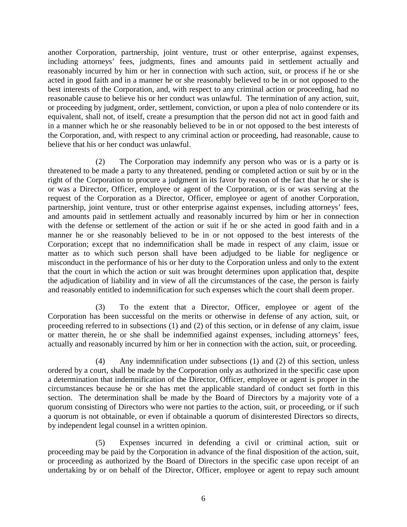another Corporation, partnership, joint venture, trust or other enterprise, against expenses, including attorneys' fees, judgments, fines and amounts paid in settlement actually and reasonably incurred by him or her in connection with such action, suit, or process if he or she acted in good faith and in a manner he or she reasonably believed to be in or not opposed to the best interests of the Corporation, and, with respect to any criminal action or proceeding, had no reasonable cause to believe his or her conduct was unlawful. The termination of any action, suit, or proceeding by judgment, order, settlement, conviction, or upon a plea of nolo contendere or its equivalent, shall not, of itself, create a presumption that the person did not act in good faith and in a manner which he or she reasonably believed to be in or not opposed to the best interests of the Corporation, and, with respect to any criminal action or proceeding, had reasonable, cause to believe that his or her conduct was unlawful.

(2) The Corporation may indemnify any person who was or is a party or is threatened to be made a party to any threatened, pending or completed action or suit by or in the right of the Corporation to procure a judgment in its favor by reason of the fact that he or she is or was a Director, Officer, employee or agent of the Corporation, or is or was serving at the request of the Corporation as a Director, Officer, employee or agent of another Corporation, partnership, joint venture, trust or other enterprise against expenses, including attorneys' fees, and amounts paid in settlement actually and reasonably incurred by him or her in connection with the defense or settlement of the action or suit if he or she acted in good faith and in a manner he or she reasonably believed to be in or not opposed to the best interests of the Corporation; except that no indemnification shall be made in respect of any claim, issue or matter as to which such person shall have been adjudged to be liable for negligence or misconduct in the performance of his or her duty to the Corporation unless and only to the extent that the court in which the action or suit was brought determines upon application that, despite the adjudication of liability and in view of all the circumstances of the case, the person is fairly and reasonably entitled to indemnification for such expenses which the court shall deem proper.

(3) To the extent that a Director, Officer, employee or agent of the Corporation has been successful on the merits or otherwise in defense of any action, suit, or proceeding referred to in subsections (1) and (2) of this section, or in defense of any claim, issue or matter therein, he or she shall be indemnified against expenses, including attorneys' fees, actually and reasonably incurred by him or her in connection with the action, suit, or proceeding.

(4) Any indemnification under subsections (1) and (2) of this section, unless ordered by a court, shall be made by the Corporation only as authorized in the specific case upon a determination that indemnification of the Director, Officer, employee or agent is proper in the circumstances because he or she has met the applicable standard of conduct set forth in this section. The determination shall be made by the Board of Directors by a majority vote of a quorum consisting of Directors who were not parties to the action, suit, or proceeding, or if such a quorum is not obtainable, or even if obtainable a quorum of disinterested Directors so directs, by independent legal counsel in a written opinion.

(5) Expenses incurred in defending a civil or criminal action, suit or proceeding may be paid by the Corporation in advance of the final disposition of the action, suit, or proceeding as authorized by the Board of Directors in the specific case upon receipt of an undertaking by or on behalf of the Director, Officer, employee or agent to repay such amount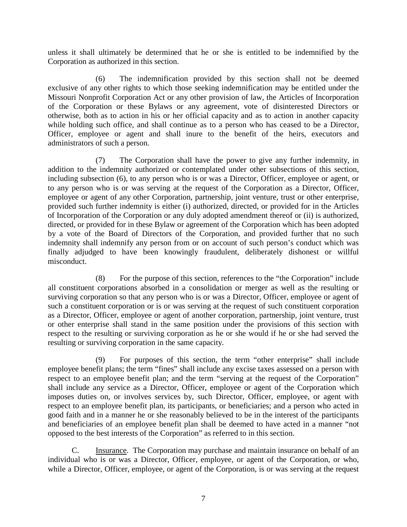unless it shall ultimately be determined that he or she is entitled to be indemnified by the Corporation as authorized in this section.

(6) The indemnification provided by this section shall not be deemed exclusive of any other rights to which those seeking indemnification may be entitled under the Missouri Nonprofit Corporation Act or any other provision of law, the Articles of Incorporation of the Corporation or these Bylaws or any agreement, vote of disinterested Directors or otherwise, both as to action in his or her official capacity and as to action in another capacity while holding such office, and shall continue as to a person who has ceased to be a Director, Officer, employee or agent and shall inure to the benefit of the heirs, executors and administrators of such a person.

(7) The Corporation shall have the power to give any further indemnity, in addition to the indemnity authorized or contemplated under other subsections of this section, including subsection (6), to any person who is or was a Director, Officer, employee or agent, or to any person who is or was serving at the request of the Corporation as a Director, Officer, employee or agent of any other Corporation, partnership, joint venture, trust or other enterprise, provided such further indemnity is either (i) authorized, directed, or provided for in the Articles of Incorporation of the Corporation or any duly adopted amendment thereof or (ii) is authorized, directed, or provided for in these Bylaw or agreement of the Corporation which has been adopted by a vote of the Board of Directors of the Corporation, and provided further that no such indemnity shall indemnify any person from or on account of such person's conduct which was finally adjudged to have been knowingly fraudulent, deliberately dishonest or willful misconduct.

(8) For the purpose of this section, references to the "the Corporation" include all constituent corporations absorbed in a consolidation or merger as well as the resulting or surviving corporation so that any person who is or was a Director, Officer, employee or agent of such a constituent corporation or is or was serving at the request of such constituent corporation as a Director, Officer, employee or agent of another corporation, partnership, joint venture, trust or other enterprise shall stand in the same position under the provisions of this section with respect to the resulting or surviving corporation as he or she would if he or she had served the resulting or surviving corporation in the same capacity.

(9) For purposes of this section, the term "other enterprise" shall include employee benefit plans; the term "fines" shall include any excise taxes assessed on a person with respect to an employee benefit plan; and the term "serving at the request of the Corporation" shall include any service as a Director, Officer, employee or agent of the Corporation which imposes duties on, or involves services by, such Director, Officer, employee, or agent with respect to an employee benefit plan, its participants, or beneficiaries; and a person who acted in good faith and in a manner he or she reasonably believed to be in the interest of the participants and beneficiaries of an employee benefit plan shall be deemed to have acted in a manner "not opposed to the best interests of the Corporation" as referred to in this section.

C. Insurance. The Corporation may purchase and maintain insurance on behalf of an individual who is or was a Director, Officer, employee, or agent of the Corporation, or who, while a Director, Officer, employee, or agent of the Corporation, is or was serving at the request